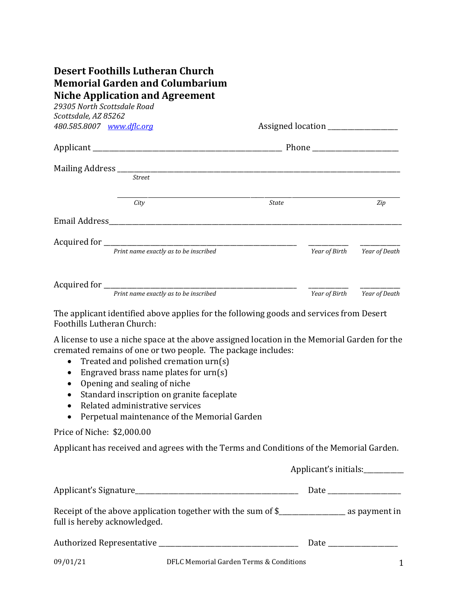## **Desert Foothills Lutheran Church Memorial Garden and Columbarium Niche Application and Agreement**

*29305 North Scottsdale Road Scottsdale, AZ 85262 480.585.8007 [www.dflc.org](http://www.dflc.org/) Assigned location Assigned location* 

| Applicant _____  |                                       |       | Phone         |               |  |
|------------------|---------------------------------------|-------|---------------|---------------|--|
| Mailing Address_ | <b>Street</b>                         |       |               |               |  |
|                  | City                                  | State |               | Zip           |  |
| Email Address    |                                       |       |               |               |  |
| Acquired for     |                                       |       |               |               |  |
|                  | Print name exactly as to be inscribed |       | Year of Birth | Year of Death |  |
| Acquired for     |                                       |       |               |               |  |
|                  | Print name exactly as to be inscribed |       | Year of Birth | Year of Death |  |

The applicant identified above applies for the following goods and services from Desert Foothills Lutheran Church:

A license to use a niche space at the above assigned location in the Memorial Garden for the cremated remains of one or two people. The package includes:

- Treated and polished cremation urn(s)
- Engraved brass name plates for urn(s)
- Opening and sealing of niche
- Standard inscription on granite faceplate
- Related administrative services
- Perpetual maintenance of the Memorial Garden

Price of Niche: \$2,000.00

Applicant has received and agrees with the Terms and Conditions of the Memorial Garden.

|                                                                                                                                  | Applicant's initials: |                                                                                                                                                                                                                                |  |
|----------------------------------------------------------------------------------------------------------------------------------|-----------------------|--------------------------------------------------------------------------------------------------------------------------------------------------------------------------------------------------------------------------------|--|
| Applicant's Signature                                                                                                            |                       |                                                                                                                                                                                                                                |  |
| Receipt of the above application together with the sum of \$______________________ as payment in<br>full is hereby acknowledged. |                       |                                                                                                                                                                                                                                |  |
|                                                                                                                                  |                       | Date the contract of the contract of the contract of the contract of the contract of the contract of the contract of the contract of the contract of the contract of the contract of the contract of the contract of the contr |  |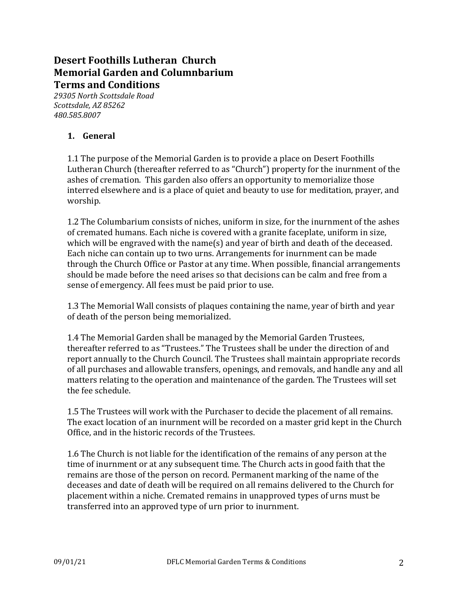# **Desert Foothills Lutheran Church Memorial Garden and Columnbarium Terms and Conditions**

*29305 North Scottsdale Road Scottsdale, AZ 85262 480.585.8007*

### **1. General**

1.1 The purpose of the Memorial Garden is to provide a place on Desert Foothills Lutheran Church (thereafter referred to as "Church") property for the inurnment of the ashes of cremation. This garden also offers an opportunity to memorialize those interred elsewhere and is a place of quiet and beauty to use for meditation, prayer, and worship.

1.2 The Columbarium consists of niches, uniform in size, for the inurnment of the ashes of cremated humans. Each niche is covered with a granite faceplate, uniform in size, which will be engraved with the name(s) and year of birth and death of the deceased. Each niche can contain up to two urns. Arrangements for inurnment can be made through the Church Office or Pastor at any time. When possible, financial arrangements should be made before the need arises so that decisions can be calm and free from a sense of emergency. All fees must be paid prior to use.

1.3 The Memorial Wall consists of plaques containing the name, year of birth and year of death of the person being memorialized.

1.4 The Memorial Garden shall be managed by the Memorial Garden Trustees, thereafter referred to as "Trustees." The Trustees shall be under the direction of and report annually to the Church Council. The Trustees shall maintain appropriate records of all purchases and allowable transfers, openings, and removals, and handle any and all matters relating to the operation and maintenance of the garden. The Trustees will set the fee schedule.

1.5 The Trustees will work with the Purchaser to decide the placement of all remains. The exact location of an inurnment will be recorded on a master grid kept in the Church Office, and in the historic records of the Trustees.

1.6 The Church is not liable for the identification of the remains of any person at the time of inurnment or at any subsequent time. The Church acts in good faith that the remains are those of the person on record. Permanent marking of the name of the deceases and date of death will be required on all remains delivered to the Church for placement within a niche. Cremated remains in unapproved types of urns must be transferred into an approved type of urn prior to inurnment.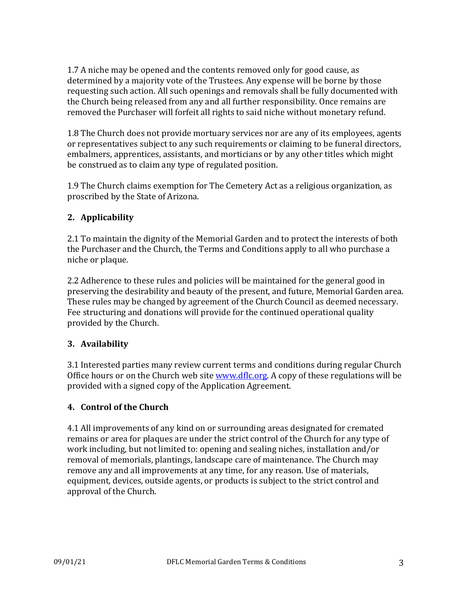1.7 A niche may be opened and the contents removed only for good cause, as determined by a majority vote of the Trustees. Any expense will be borne by those requesting such action. All such openings and removals shall be fully documented with the Church being released from any and all further responsibility. Once remains are removed the Purchaser will forfeit all rights to said niche without monetary refund.

1.8 The Church does not provide mortuary services nor are any of its employees, agents or representatives subject to any such requirements or claiming to be funeral directors, embalmers, apprentices, assistants, and morticians or by any other titles which might be construed as to claim any type of regulated position.

1.9 The Church claims exemption for The Cemetery Act as a religious organization, as proscribed by the State of Arizona.

## **2. Applicability**

2.1 To maintain the dignity of the Memorial Garden and to protect the interests of both the Purchaser and the Church, the Terms and Conditions apply to all who purchase a niche or plaque.

2.2 Adherence to these rules and policies will be maintained for the general good in preserving the desirability and beauty of the present, and future, Memorial Garden area. These rules may be changed by agreement of the Church Council as deemed necessary. Fee structuring and donations will provide for the continued operational quality provided by the Church.

## **3. Availability**

3.1 Interested parties many review current terms and conditions during regular Church Office hours or on the Church web site [www.dflc.org.](http://www.dflc.org/) A copy of these regulations will be provided with a signed copy of the Application Agreement.

## **4. Control of the Church**

4.1 All improvements of any kind on or surrounding areas designated for cremated remains or area for plaques are under the strict control of the Church for any type of work including, but not limited to: opening and sealing niches, installation and/or removal of memorials, plantings, landscape care of maintenance. The Church may remove any and all improvements at any time, for any reason. Use of materials, equipment, devices, outside agents, or products is subject to the strict control and approval of the Church.